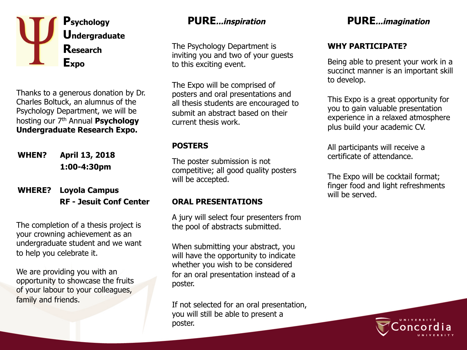

Thanks to a generous donation by Dr. Charles Boltuck, an alumnus of the Psychology Department, we will be hosting our 7th Annual **Psychology Undergraduate Research Expo.** 

**WHEN? April 13, 2018 1:00-4:30pm** 

#### **WHERE? RF - Jesuit Conf Center Loyola Campus**

The completion of a thesis project is your crowning achievement as an undergraduate student and we want to help you celebrate it.

We are providing you with an opportunity to showcase the fruits of your labour to your colleagues, family and friends.

The Psychology Department is inviting you and two of your guests to this exciting event.

The Expo will be comprised of posters and oral presentations and all thesis students are encouraged to submit an abstract based on their current thesis work.

#### **POSTERS**

The poster submission is not competitive; all good quality posters will be accepted.

### **ORAL PRESENTATIONS**

A jury will select four presenters from the pool of abstracts submitted.

When submitting your abstract, you will have the opportunity to indicate whether you wish to be considered for an oral presentation instead of a poster.

If not selected for an oral presentation, you will still be able to present a poster.

# **PURE...inspiration PURE...imagination**

## **WHY PARTICIPATE?**

Being able to present your work in a succinct manner is an important skill to develop.

This Expo is a great opportunity for you to gain valuable presentation experience in a relaxed atmosphere plus build your academic CV.

All participants will receive a certificate of attendance.

The Expo will be cocktail format; finger food and light refreshments will be served.